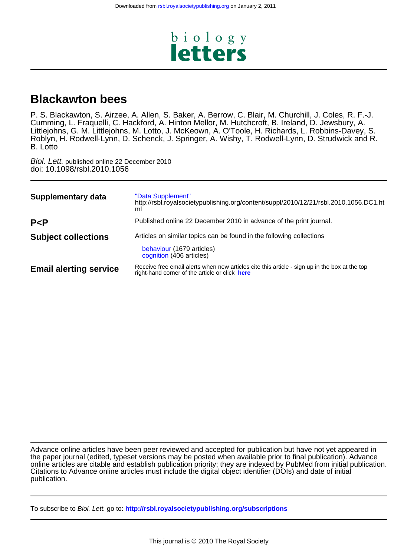

# **Blackawton bees**

B. Lotto Roblyn, H. Rodwell-Lynn, D. Schenck, J. Springer, A. Wishy, T. Rodwell-Lynn, D. Strudwick and R. Littlejohns, G. M. Littlejohns, M. Lotto, J. McKeown, A. O'Toole, H. Richards, L. Robbins-Davey, S. Cumming, L. Fraquelli, C. Hackford, A. Hinton Mellor, M. Hutchcroft, B. Ireland, D. Jewsbury, A. P. S. Blackawton, S. Airzee, A. Allen, S. Baker, A. Berrow, C. Blair, M. Churchill, J. Coles, R. F.-J.

doi: 10.1098/rsbl.2010.1056 Biol. Lett. published online 22 December 2010

| <b>Supplementary data</b>     | "Data Supplement"<br>http://rsbl.royalsocietypublishing.org/content/suppl/2010/12/21/rsbl.2010.1056.DC1.ht<br>ml          |
|-------------------------------|---------------------------------------------------------------------------------------------------------------------------|
| P < P                         | Published online 22 December 2010 in advance of the print journal.                                                        |
| <b>Subject collections</b>    | Articles on similar topics can be found in the following collections<br>behaviour (1679 articles)                         |
|                               | cognition (406 articles)<br>Receive free email alerts when new articles cite this article - sign up in the box at the top |
| <b>Email alerting service</b> | right-hand corner of the article or click here                                                                            |

publication. Citations to Advance online articles must include the digital object identifier (DOIs) and date of initial online articles are citable and establish publication priority; they are indexed by PubMed from initial publication. the paper journal (edited, typeset versions may be posted when available prior to final publication). Advance Advance online articles have been peer reviewed and accepted for publication but have not yet appeared in

To subscribe to Biol. Lett. go to: **<http://rsbl.royalsocietypublishing.org/subscriptions>**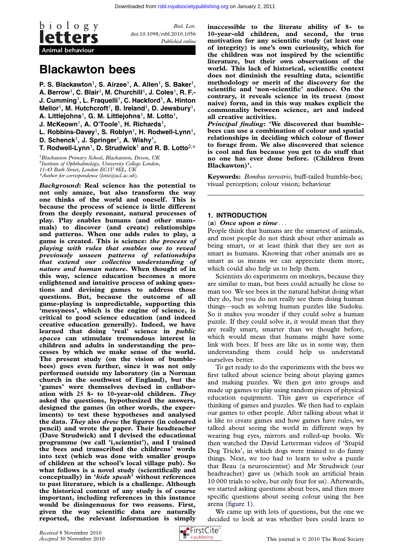

Biol. Lett. doi:10.1098/rsbl.2010.1056 Published online

# Blackawton bees

P. S. Blackawton<sup>1</sup>, S. Airzee<sup>1</sup>, A. Allen<sup>1</sup>, S. Baker<sup>1</sup>, A. Berrow<sup>1</sup>, C. Blair<sup>1</sup>, M. Churchill<sup>1</sup>, J. Coles<sup>1</sup>, R. F.-J. Cumming<sup>1</sup>, L. Fraquelli<sup>1</sup>, C. Hackford<sup>1</sup>, A. Hinton Mellor<sup>1</sup>, M. Hutchcroft<sup>1</sup>, B. Ireland<sup>1</sup>, D. Jewsbury<sup>1</sup>, A. Littlejohns<sup>1</sup>, G. M. Littlejohns<sup>1</sup>, M. Lotto<sup>1</sup>,

J. McKeown<sup>1</sup>, A. O'Toole<sup>1</sup>, H. Richards<sup>1</sup>,

L. Robbins-Davey<sup>1</sup>, S. Roblyn<sup>1</sup>, H. Rodwell-Lynn<sup>1</sup>,

D. Schenck<sup>1</sup>, J. Springer<sup>1</sup>, A. Wishy<sup>1</sup>,

T. Rodwell-Lynn<sup>1</sup>, D. Strudwick<sup>1</sup> and R. B. Lotto<sup>2,\*</sup>

<sup>1</sup>Blackawton Primary School, Blackawton, Devon, UK <sup>2</sup>Institute of Ophthalmology, University College London, 11-43 Bath Street, London EC1V 9EL, UK \*Author for correspondence ([lotto@ucl.ac.uk](mailto:lotto@ucl.ac.uk)).

Background: Real science has the potential to not only amaze, but also transform the way one thinks of the world and oneself. This is because the process of science is little different from the deeply resonant, natural processes of play. Play enables humans (and other mammals) to discover (and create) relationships and patterns. When one adds rules to play, a game is created. This is science: the process of playing with rules that enables one to reveal previously unseen patterns of relationships that extend our collective understanding of nature and human nature. When thought of in this way, science education becomes a more enlightened and intuitive process of asking questions and devising games to address those questions. But, because the outcome of all game-playing is unpredictable, supporting this 'messyness', which is the engine of science, is critical to good science education (and indeed creative education generally). Indeed, we have learned that doing 'real' science in public spaces can stimulate tremendous interest in children and adults in understanding the processes by which we make sense of the world. The present study (on the vision of bumblebees) goes even further, since it was not only performed outside my laboratory (in a Norman church in the southwest of England), but the 'games' were themselves devised in collaboration with 25 8- to 10-year-old children. They asked the questions, hypothesized the answers, designed the games (in other words, the experiments) to test these hypotheses and analysed the data. They also drew the figures (in coloured pencil) and wrote the paper. Their headteacher (Dave Strudwick) and I devised the educational programme (we call 'i,scientist'), and I trained the bees and transcribed the childrens' words into text (which was done with smaller groups of children at the school's local village pub). So what follows is a novel study (scientifically and conceptually) in 'kids speak' without references to past literature, which is a challenge. Although the historical context of any study is of course important, including references in this instance would be disingenuous for two reasons. First, given the way scientific data are naturally reported, the relevant information is simply

inaccessible to the literate ability of 8- to 10-year-old children, and second, the true motivation for any scientific study (at least one of integrity) is one's own curiousity, which for the children was not inspired by the scientific literature, but their own observations of the world. This lack of historical, scientific context does not diminish the resulting data, scientific methodology or merit of the discovery for the scientific and 'non-scientific' audience. On the contrary, it reveals science in its truest (most naive) form, and in this way makes explicit the commonality between science, art and indeed all creative activities.

Principal finding: 'We discovered that bumblebees can use a combination of colour and spatial relationships in deciding which colour of flower to forage from. We also discovered that science is cool and fun because you get to do stuff that no one has ever done before. (Children from Blackawton)'.

Keywords: Bombus terrestris; buff-tailed bumble-bee; visual perception; colour vision; behaviour

# 1. INTRODUCTION

## (a) Once upon a time  $\dots$

People think that humans are the smartest of animals, and most people do not think about other animals as being smart, or at least think that they are not as smart as humans. Knowing that other animals are as smart as us means we can appreciate them more, which could also help us to help them.

Scientists do experiments on monkeys, because they are similar to man, but bees could actually be close to man too. We see bees in the natural habitat doing what they do, but you do not really see them doing human things—such as solving human puzzles like Sudoku. So it makes you wonder if they could solve a human puzzle. If they could solve it, it would mean that they are really smart, smarter than we thought before, which would mean that humans might have some link with bees. If bees are like us in some way, then understanding them could help us understand ourselves better.

To get ready to do the experiments with the bees we first talked about science being about playing games and making puzzles. We then got into groups and made up games to play using random pieces of physical education equipment. This gave us experience of thinking of games and puzzles. We then had to explain our games to other people. After talking about what it is like to create games and how games have rules, we talked about seeing the world in different ways by wearing bug eyes, mirrors and rolled-up books. We then watched the David Letterman videos of 'Stupid Dog Tricks', in which dogs were trained to do funny things. Next, we too had to learn to solve a puzzle that Beau (a neuroscientist) and Mr Strudwick (our headteacher) gave us (which took an artificial brain 10 000 trials to solve, but only four for us). Afterwards, we started asking questions about bees, and then more specific questions about seeing colour using the bee arena [\(figure 1](#page-2-0)).

We came up with lots of questions, but the one we decided to look at was whether bees could learn to

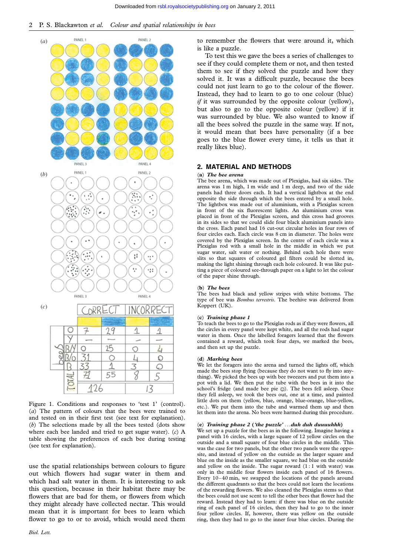<span id="page-2-0"></span>

Figure 1. Conditions and responses to 'test 1' (control). (a) The pattern of colours that the bees were trained to and tested on in their first test (see text for explanation). (b) The selections made by all the bees tested (dots show where each bee landed and tried to get sugar water).  $(c)$  A table showing the preferences of each bee during testing (see text for explanation).

use the spatial relationships between colours to figure out which flowers had sugar water in them and which had salt water in them. It is interesting to ask this question, because in their habitat there may be flowers that are bad for them, or flowers from which they might already have collected nectar. This would mean that it is important for bees to learn which flower to go to or to avoid, which would need them

to remember the flowers that were around it, which is like a puzzle.

To test this we gave the bees a series of challenges to see if they could complete them or not, and then tested them to see if they solved the puzzle and how they solved it. It was a difficult puzzle, because the bees could not just learn to go to the colour of the flower. Instead, they had to learn to go to one colour (blue) *if* it was surrounded by the opposite colour (yellow), but also to go to the opposite colour (yellow) if it was surrounded by blue. We also wanted to know if all the bees solved the puzzle in the same way. If not, it would mean that bees have personality (if a bee goes to the blue flower every time, it tells us that it really likes blue).

# 2. MATERIAL AND METHODS

#### (a) The bee arena

The bee arena, which was made out of Plexiglas, had six sides. The arena was 1 m high, 1 m wide and 1 m deep, and two of the side panels had three doors each. It had a vertical lightbox at the end opposite the side through which the bees entered by a small hole. The lightbox was made out of aluminium, with a Plexiglas screen in front of the six fluorescent lights. An aluminium cross was placed in front of the Plexiglas screen, and this cross had grooves in its sides so that we could slide four black aluminium panels into the cross. Each panel had 16 cut-out circular holes in four rows of four circles each. Each circle was 8 cm in diameter. The holes were covered by the Plexiglas screen. In the centre of each circle was a Plexiglas rod with a small hole in the middle in which we put sugar water, salt water or nothing. Behind each hole there were slits so that squares of coloured gel filters could be slotted in, making the light shining through each hole coloured. It was like putting a piece of coloured see-through paper on a light to let the colour of the paper shine through.

#### (b) The bees

The bees had black and yellow stripes with white bottoms. The type of bee was Bombus terrestris. The beehive was delivered from Koppert (UK).

### (c) Training phase 1

To teach the bees to go to the Plexiglas rods as if they were flowers, all the circles in every panel were kept white, and all the rods had sugar water in them. Once the labelled foragers learned that the flowers contained a reward, which took four days, we marked the bees, and then set up the puzzle.

#### (d) Marking bees

We let the foragers into the arena and turned the lights off, which made the bees stop flying (because they do not want to fly into anything). We picked the bees up with bee tweezers and put them into a pot with a lid. We then put the tube with the bees in it into the school's fridge (and made bee pie  $\circledcirc$ ). The bees fell asleep. Once they fell asleep, we took the bees out, one at a time, and painted little dots on them (yellow, blue, orange, blue-orange, blue-yellow, etc.). We put them into the tube and warmed them up and then let them into the arena. No bees were harmed during this procedure.

#### (e) Training phase 2 ('the puzzle'  $...$  duh duh duuuuhhh)

We set up a puzzle for the bees as in the following. Imagine having a panel with 16 circles, with a large square of 12 yellow circles on the outside and a small square of four blue circles in the middle. This was the case for two panels, but the other two panels were the opposite, and instead of yellow on the outside as the larger square and blue on the inside as the smaller square, we had blue on the outside and yellow on the inside. The sugar reward  $(1:1$  with water) was only in the middle four flowers inside each panel of 16 flowers. Every 10–40 min, we swapped the locations of the panels around the different quadrants so that the bees could not learn the locations of the rewarding flowers. We also cleaned the Plexiglas stems so that the bees could not use scent to tell the other bees that flower had the reward. Instead they had to learn: if there was blue on the outside ring of each panel of 16 circles, then they had to go to the inner four yellow circles. If, however, there was yellow on the outside ring, then they had to go to the inner four blue circles. During the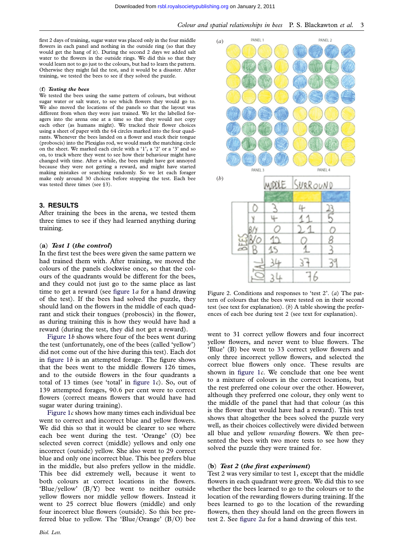<span id="page-3-0"></span>first 2 days of training, sugar water was placed only in the four middle flowers in each panel and nothing in the outside ring (so that they would get the hang of it). During the second 2 days we added salt water to the flowers in the outside rings. We did this so that they would learn not to go just to the colours, but had to learn the pattern. Otherwise they might fail the test, and it would be a disaster. After training, we tested the bees to see if they solved the puzzle.

# (f) Testing the bees

We tested the bees using the same pattern of colours, but without sugar water or salt water, to see which flowers they would go to. We also moved the locations of the panels so that the layout was different from when they were just trained. We let the labelled foragers into the arena one at a time so that they would not copy each other (as humans might). We tracked their flower choices using a sheet of paper with the 64 circles marked into the four quadrants. Whenever the bees landed on a flower and stuck their tongue (proboscis) into the Plexiglas rod, we would mark the matching circle on the sheet. We marked each circle with a '1', a '2' or a '3' and so on, to track where they went to see how their behaviour might have changed with time. After a while, the bees might have got annoyed because they were not getting a reward, and might have started making mistakes or searching randomly. So we let each forager make only around 30 choices before stopping the test. Each bee was tested three times (see §3).

# 3. RESULTS

After training the bees in the arena, we tested them three times to see if they had learned anything during training.

# (a) Test 1 (the control)

In the first test the bees were given the same pattern we had trained them with. After training, we moved the colours of the panels clockwise once, so that the colours of the quadrants would be different for the bees, and they could not just go to the same place as last time to get a reward (see figure  $1a$  for a hand drawing of the test). If the bees had solved the puzzle, they should land on the flowers in the middle of each quadrant and stick their tongues (proboscis) in the flower, as during training this is how they would have had a reward (during the test, they did not get a reward).

[Figure 1](#page-2-0)b shows where four of the bees went during the test (unfortunately, one of the bees (called 'yellow') did not come out of the hive during this test). Each dot in figure  $1b$  is an attempted forage. The figure shows that the bees went to the middle flowers 126 times, and to the outside flowers in the four quadrants a total of 13 times (see 'total' in figure  $1c$ ). So, out of 139 attempted forages, 90.6 per cent were to correct flowers (correct means flowers that would have had sugar water during training).

[Figure 1](#page-2-0)c shows how many times each individual bee went to correct and incorrect blue and yellow flowers. We did this so that it would be clearer to see where each bee went during the test. 'Orange' (O) bee selected seven correct (middle) yellows and only one incorrect (outside) yellow. She also went to 29 correct blue and only one incorrect blue. This bee prefers blue in the middle, but also prefers yellow in the middle. This bee did extremely well, because it went to both colours at correct locations in the flowers. 'Blue/yellow' (B/Y) bee went to neither outside yellow flowers nor middle yellow flowers. Instead it went to 25 correct blue flowers (middle) and only four incorrect blue flowers (outside). So this bee preferred blue to yellow. The 'Blue/Orange' (B/O) bee



Figure 2. Conditions and responses to 'test 2'. (a) The pattern of colours that the bees were tested on in their second test (see text for explanation).  $(b)$  A table showing the preferences of each bee during test 2 (see text for explanation).

went to 31 correct yellow flowers and four incorrect yellow flowers, and never went to blue flowers. The 'Blue' (B) bee went to 33 correct yellow flowers and only three incorrect yellow flowers, and selected the correct blue flowers only once. These results are shown in [figure 1](#page-2-0)c. We conclude that one bee went to a mixture of colours in the correct locations, but the rest preferred one colour over the other. However, although they preferred one colour, they only went to the middle of the panel that had that colour (as this is the flower that would have had a reward). This test shows that altogether the bees solved the puzzle very well, as their choices collectively were divided between all blue and yellow rewarding flowers. We then presented the bees with two more tests to see how they solved the puzzle they were trained for.

### (b) Test 2 (the first experiment)

Test 2 was very similar to test 1, except that the middle flowers in each quadrant were green. We did this to see whether the bees learned to go to the colours or to the location of the rewarding flowers during training. If the bees learned to go to the location of the rewarding flowers, then they should land on the green flowers in test 2. See figure 2a for a hand drawing of this test.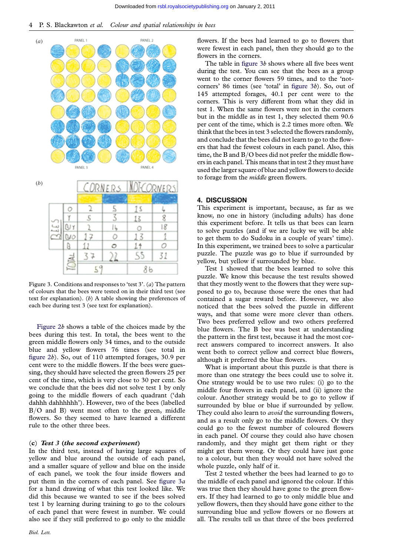

Figure 3. Conditions and responses to 'test  $3'$ . (a) The pattern of colours that the bees were tested on in their third test (see text for explanation). (b) A table showing the preferences of each bee during test 3 (see text for explanation).

[Figure 2](#page-3-0)b shows a table of the choices made by the bees during this test. In total, the bees went to the green middle flowers only 34 times, and to the outside blue and yellow flowers 76 times (see total in [figure 2](#page-3-0)b). So, out of 110 attempted forages, 30.9 per cent were to the middle flowers. If the bees were guessing, they should have selected the green flowers 25 per cent of the time, which is very close to 30 per cent. So we conclude that the bees did not solve test 1 by only going to the middle flowers of each quadrant ('dah dahhh dahhhhhh'). However, two of the bees (labelled B/O and B) went most often to the green, middle flowers. So they seemed to have learned a different rule to the other three bees.

# (c) Test 3 (the second experiment)

In the third test, instead of having large squares of yellow and blue around the outside of each panel, and a smaller square of yellow and blue on the inside of each panel, we took the four inside flowers and put them in the corners of each panel. See figure 3a for a hand drawing of what this test looked like. We did this because we wanted to see if the bees solved test 1 by learning during training to go to the colours of each panel that were fewest in number. We could also see if they still preferred to go only to the middle

flowers. If the bees had learned to go to flowers that were fewest in each panel, then they should go to the flowers in the corners.

The table in figure 3b shows where all five bees went during the test. You can see that the bees as a group went to the corner flowers 59 times, and to the 'notcorners' 86 times (see 'total' in figure 3b). So, out of 145 attempted forages, 40.1 per cent were to the corners. This is very different from what they did in test 1. When the same flowers were not in the corners but in the middle as in test 1, they selected them 90.6 per cent of the time, which is 2.2 times more often. We think that the bees in test 3 selected the flowers randomly, and conclude that the bees did not learn to go to the flowers that had the fewest colours in each panel. Also, this time, the B and B/O bees did not prefer the middle flowers in each panel. This means that in test 2 they must have used the larger square of blue and yellow flowers to decide to forage from the middle green flowers.

# 4. DISCUSSION

This experiment is important, because, as far as we know, no one in history (including adults) has done this experiment before. It tells us that bees can learn to solve puzzles (and if we are lucky we will be able to get them to do Sudoku in a couple of years' time). In this experiment, we trained bees to solve a particular puzzle. The puzzle was go to blue if surrounded by yellow, but yellow if surrounded by blue.

Test 1 showed that the bees learned to solve this puzzle. We know this because the test results showed that they mostly went to the flowers that they were supposed to go to, because those were the ones that had contained a sugar reward before. However, we also noticed that the bees solved the puzzle in different ways, and that some were more clever than others. Two bees preferred yellow and two others preferred blue flowers. The B bee was best at understanding the pattern in the first test, because it had the most correct answers compared to incorrect answers. It also went both to correct yellow and correct blue flowers, although it preferred the blue flowers.

What is important about this puzzle is that there is more than one strategy the bees could use to solve it. One strategy would be to use two rules: (i) go to the middle four flowers in each panel, and (ii) ignore the colour. Another strategy would be to go to yellow if surrounded by blue or blue if surrounded by yellow. They could also learn to *avoid* the surrounding flowers, and as a result only go to the middle flowers. Or they could go to the fewest number of coloured flowers in each panel. Of course they could also have chosen randomly, and they might get them right or they might get them wrong. Or they could have just gone to a colour, but then they would not have solved the whole puzzle, only half of it.

Test 2 tested whether the bees had learned to go to the middle of each panel and ignored the colour. If this was true then they should have gone to the green flowers. If they had learned to go to only middle blue and yellow flowers, then they should have gone either to the surrounding blue and yellow flowers or no flowers at all. The results tell us that three of the bees preferred